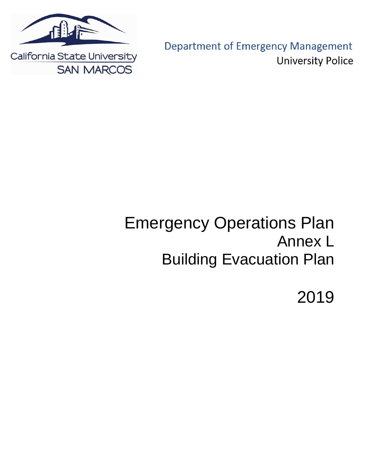

**Department of Emergency Management University Police** 

# Emergency Operations Plan Annex L Building Evacuation Plan

2019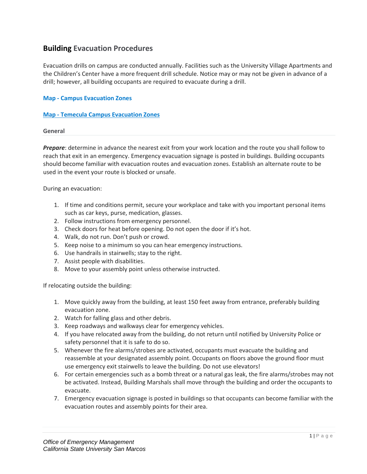# **Building Evacuation Procedures**

Evacuation drills on campus are conducted annually. Facilities such as the University Village Apartments and the Children's Center have a more frequent drill schedule. Notice may or may not be given in advance of a drill; however, all building occupants are required to evacuate during a drill.

# **Map - [Campus Evacuation Zones](https://www.csusm.edu/em/images/campusevacuationzones11_4_19.pdf)**

### **Map - [Temecula Campus Evacuation Zones](https://www.csusm.edu/em/images/campusevacuationzones_temecula.pdf)**

#### **General**

*Prepare*: determine in advance the nearest exit from your work location and the route you shall follow to reach that exit in an emergency. Emergency evacuation signage is posted in buildings. Building occupants should become familiar with evacuation routes and evacuation zones. Establish an alternate route to be used in the event your route is blocked or unsafe.

During an evacuation:

- 1. If time and conditions permit, secure your workplace and take with you important personal items such as car keys, purse, medication, glasses.
- 2. Follow instructions from emergency personnel.
- 3. Check doors for heat before opening. Do not open the door if it's hot.
- 4. Walk, do not run. Don't push or crowd.
- 5. Keep noise to a minimum so you can hear emergency instructions.
- 6. Use handrails in stairwells; stay to the right.
- 7. Assist people with disabilities.
- 8. Move to your assembly point unless otherwise instructed.

If relocating outside the building:

- 1. Move quickly away from the building, at least 150 feet away from entrance, preferably building evacuation zone.
- 2. Watch for falling glass and other debris.
- 3. Keep roadways and walkways clear for emergency vehicles.
- 4. If you have relocated away from the building, do not return until notified by University Police or safety personnel that it is safe to do so.
- 5. Whenever the fire alarms/strobes are activated, occupants must evacuate the building and reassemble at your designated assembly point. Occupants on floors above the ground floor must use emergency exit stairwells to leave the building. Do not use elevators!
- 6. For certain emergencies such as a bomb threat or a natural gas leak, the fire alarms/strobes may not be activated. Instead, Building Marshals shall move through the building and order the occupants to evacuate.
- 7. Emergency evacuation signage is posted in buildings so that occupants can become familiar with the evacuation routes and assembly points for their area.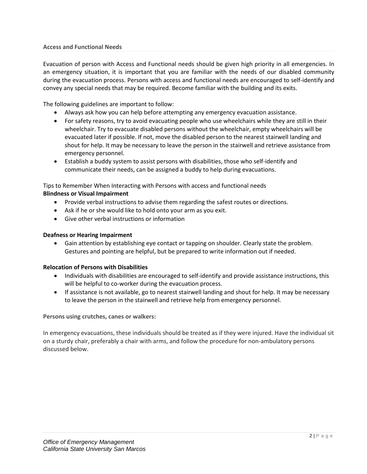Evacuation of person with Access and Functional needs should be given high priority in all emergencies. In an emergency situation, it is important that you are familiar with the needs of our disabled community during the evacuation process. Persons with access and functional needs are encouraged to self-identify and convey any special needs that may be required. Become familiar with the building and its exits.

The following guidelines are important to follow:

- Always ask how you can help before attempting any emergency evacuation assistance.
- For safety reasons, try to avoid evacuating people who use wheelchairs while they are still in their wheelchair. Try to evacuate disabled persons without the wheelchair, empty wheelchairs will be evacuated later if possible. If not, move the disabled person to the nearest stairwell landing and shout for help. It may be necessary to leave the person in the stairwell and retrieve assistance from emergency personnel.
- Establish a buddy system to assist persons with disabilities, those who self-identify and communicate their needs, can be assigned a buddy to help during evacuations.

Tips to Remember When Interacting with Persons with access and functional needs

# **Blindness or Visual Impairment**

- Provide verbal instructions to advise them regarding the safest routes or directions.
- Ask if he or she would like to hold onto your arm as you exit.
- Give other verbal instructions or information

# **Deafness or Hearing Impairment**

 Gain attention by establishing eye contact or tapping on shoulder. Clearly state the problem. Gestures and pointing are helpful, but be prepared to write information out if needed.

# **Relocation of Persons with Disabilities**

- Individuals with disabilities are encouraged to self-identify and provide assistance instructions, this will be helpful to co-worker during the evacuation process.
- If assistance is not available, go to nearest stairwell landing and shout for help. It may be necessary to leave the person in the stairwell and retrieve help from emergency personnel.

**Persons using crutches, canes or walkers:**

In emergency evacuations, these individuals should be treated as if they were injured. Have the individual sit on a sturdy chair, preferably a chair with arms, and follow the procedure for non-ambulatory persons discussed below.